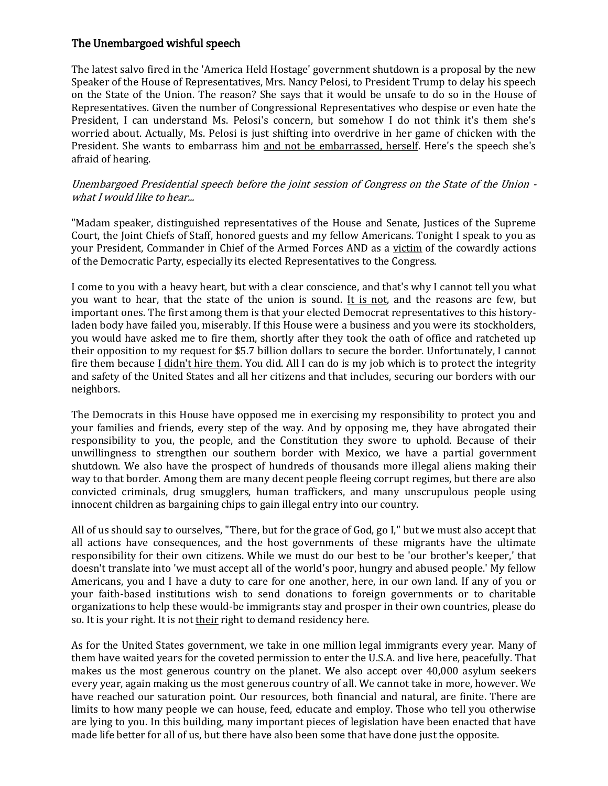## The Unembargoed wishful speech

The latest salvo fired in the 'America Held Hostage' government shutdown is a proposal by the new Speaker of the House of Representatives, Mrs. Nancy Pelosi, to President Trump to delay his speech on the State of the Union. The reason? She says that it would be unsafe to do so in the House of Representatives. Given the number of Congressional Representatives who despise or even hate the President, I can understand Ms. Pelosi's concern, but somehow I do not think it's them she's worried about. Actually, Ms. Pelosi is just shifting into overdrive in her game of chicken with the President. She wants to embarrass him and not be embarrassed, herself. Here's the speech she's afraid of hearing.

## Unembargoed Presidential speech before the joint session of Congress on the State of the Union what I would like to hear...

"Madam speaker, distinguished representatives of the House and Senate, Justices of the Supreme Court, the Joint Chiefs of Staff, honored guests and my fellow Americans. Tonight I speak to you as your President, Commander in Chief of the Armed Forces AND as a victim of the cowardly actions of the Democratic Party, especially its elected Representatives to the Congress.

I come to you with a heavy heart, but with a clear conscience, and that's why I cannot tell you what you want to hear, that the state of the union is sound. It is not, and the reasons are few, but important ones. The first among them is that your elected Democrat representatives to this historyladen body have failed you, miserably. If this House were a business and you were its stockholders, you would have asked me to fire them, shortly after they took the oath of office and ratcheted up their opposition to my request for \$5.7 billion dollars to secure the border. Unfortunately, I cannot fire them because *I didn't hire them*. You did. All I can do is my job which is to protect the integrity and safety of the United States and all her citizens and that includes, securing our borders with our neighbors.

The Democrats in this House have opposed me in exercising my responsibility to protect you and your families and friends, every step of the way. And by opposing me, they have abrogated their responsibility to you, the people, and the Constitution they swore to uphold. Because of their unwillingness to strengthen our southern border with Mexico, we have a partial government shutdown. We also have the prospect of hundreds of thousands more illegal aliens making their way to that border. Among them are many decent people fleeing corrupt regimes, but there are also convicted criminals, drug smugglers, human traffickers, and many unscrupulous people using innocent children as bargaining chips to gain illegal entry into our country.

All of us should say to ourselves, "There, but for the grace of God, go I," but we must also accept that all actions have consequences, and the host governments of these migrants have the ultimate responsibility for their own citizens. While we must do our best to be 'our brother's keeper,' that doesn't translate into 'we must accept all of the world's poor, hungry and abused people.' My fellow Americans, you and I have a duty to care for one another, here, in our own land. If any of you or your faith-based institutions wish to send donations to foreign governments or to charitable organizations to help these would-be immigrants stay and prosper in their own countries, please do so. It is your right. It is not their right to demand residency here.

As for the United States government, we take in one million legal immigrants every year. Many of them have waited years for the coveted permission to enter the U.S.A. and live here, peacefully. That makes us the most generous country on the planet. We also accept over 40,000 asylum seekers every year, again making us the most generous country of all. We cannot take in more, however. We have reached our saturation point. Our resources, both financial and natural, are finite. There are limits to how many people we can house, feed, educate and employ. Those who tell you otherwise are lying to you. In this building, many important pieces of legislation have been enacted that have made life better for all of us, but there have also been some that have done just the opposite.